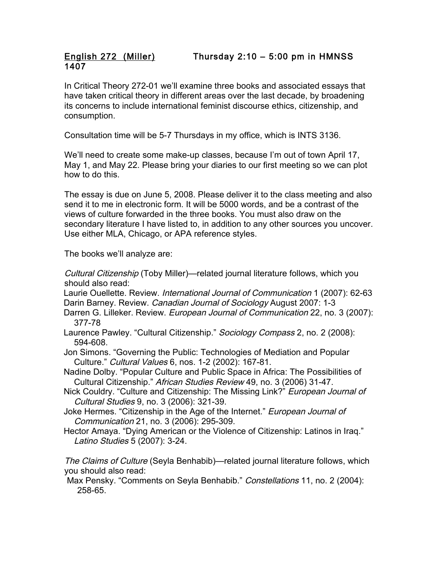## English 272 (Miller) Thursday 2:10 – 5:00 pm in HMNSS 1407

In Critical Theory 272-01 we'll examine three books and associated essays that have taken critical theory in different areas over the last decade, by broadening its concerns to include international feminist discourse ethics, citizenship, and consumption.

Consultation time will be 5-7 Thursdays in my office, which is INTS 3136.

We'll need to create some make-up classes, because I'm out of town April 17, May 1, and May 22. Please bring your diaries to our first meeting so we can plot how to do this.

The essay is due on June 5, 2008. Please deliver it to the class meeting and also send it to me in electronic form. It will be 5000 words, and be a contrast of the views of culture forwarded in the three books. You must also draw on the secondary literature I have listed to, in addition to any other sources you uncover. Use either MLA, Chicago, or APA reference styles.

The books we'll analyze are:

Cultural Citizenship (Toby Miller)—related journal literature follows, which you should also read:

Laurie Ouellette. Review. International Journal of Communication 1 (2007): 62-63 Darin Barney. Review. Canadian Journal of Sociology August 2007: 1-3

Darren G. Lilleker. Review. *European Journal of Communication* 22, no. 3 (2007): 377-78

Laurence Pawley. "Cultural Citizenship." Sociology Compass 2, no. 2 (2008): 594-608.

Jon Simons. "Governing the Public: Technologies of Mediation and Popular Culture." Cultural Values 6, nos. 1-2 (2002): 167-81.

Nadine Dolby. "Popular Culture and Public Space in Africa: The Possibilities of Cultural Citizenship." African Studies Review 49, no. 3 (2006) 31-47.

- Nick Couldry. "Culture and Citizenship: The Missing Link?" European Journal of Cultural Studies 9, no. 3 (2006): 321-39.
- Joke Hermes. "Citizenship in the Age of the Internet." European Journal of Communication 21, no. 3 (2006): 295-309.
- Hector Amaya. "Dying American or the Violence of Citizenship: Latinos in Iraq." Latino Studies 5 (2007): 3-24.

The Claims of Culture (Seyla Benhabib)—related journal literature follows, which you should also read:

Max Pensky. "Comments on Seyla Benhabib." Constellations 11, no. 2 (2004): 258-65.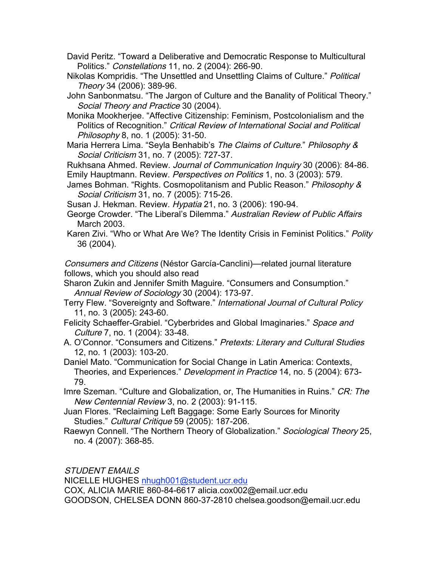David Peritz. "Toward a Deliberative and Democratic Response to Multicultural Politics." Constellations 11, no. 2 (2004): 266-90.

Nikolas Kompridis. "The Unsettled and Unsettling Claims of Culture." Political Theory 34 (2006): 389-96.

John Sanbonmatsu. "The Jargon of Culture and the Banality of Political Theory." Social Theory and Practice 30 (2004).

Monika Mookherjee. "Affective Citizenship: Feminism, Postcolonialism and the Politics of Recognition." Critical Review of International Social and Political Philosophy 8, no. 1 (2005): 31-50.

Maria Herrera Lima. "Seyla Benhabib's The Claims of Culture." Philosophy & Social Criticism 31, no. 7 (2005): 727-37.

Rukhsana Ahmed. Review. Journal of Communication Inquiry 30 (2006): 84-86. Emily Hauptmann. Review. Perspectives on Politics 1, no. 3 (2003): 579.

James Bohman. "Rights. Cosmopolitanism and Public Reason." Philosophy & Social Criticism 31, no. 7 (2005): 715-26.

Susan J. Hekman. Review. Hypatia 21, no. 3 (2006): 190-94.

George Crowder. "The Liberal's Dilemma." Australian Review of Public Affairs March 2003.

Karen Zivi. "Who or What Are We? The Identity Crisis in Feminist Politics." Polity 36 (2004).

Consumers and Citizens (Néstor García-Canclini)—related journal literature follows, which you should also read

Sharon Zukin and Jennifer Smith Maguire. "Consumers and Consumption." Annual Review of Sociology 30 (2004): 173-97.

Terry Flew. "Sovereignty and Software." International Journal of Cultural Policy 11, no. 3 (2005): 243-60.

Felicity Schaeffer-Grabiel. "Cyberbrides and Global Imaginaries." Space and Culture 7, no. 1 (2004): 33-48.

A. O'Connor. "Consumers and Citizens." Pretexts: Literary and Cultural Studies 12, no. 1 (2003): 103-20.

Daniel Mato. "Communication for Social Change in Latin America: Contexts, Theories, and Experiences." Development in Practice 14, no. 5 (2004): 673-79.

Imre Szeman. "Culture and Globalization, or, The Humanities in Ruins." CR: The New Centennial Review 3, no. 2 (2003): 91-115.

Juan Flores. "Reclaiming Left Baggage: Some Early Sources for Minority Studies." Cultural Critique 59 (2005): 187-206.

Raewyn Connell. "The Northern Theory of Globalization." Sociological Theory 25, no. 4 (2007): 368-85.

STUDENT EMAILS

NICELLE HUGHES nhugh001@student.ucr.edu

COX, ALICIA MARIE 860-84-6617 alicia.cox002@email.ucr.edu GOODSON, CHELSEA DONN 860-37-2810 chelsea.goodson@email.ucr.edu